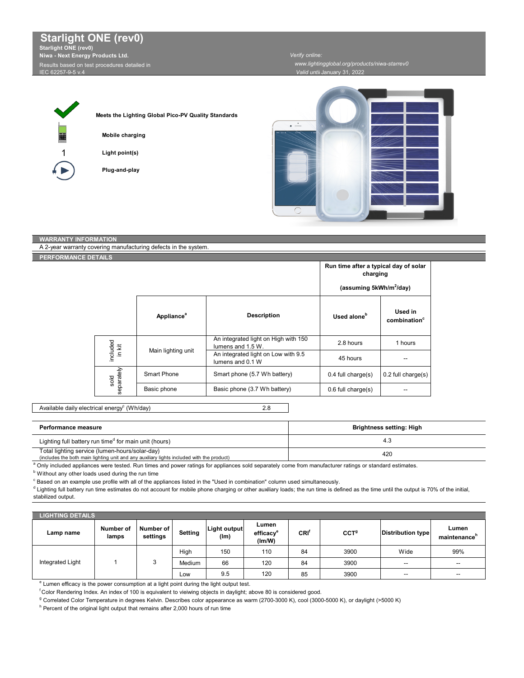Results based on test procedures detailed in IEC 62257-9-5 v.4

*Verify online: www.lightingglobal.org/products/niwa-starrev0*

*Valid until* January 31, 2022



Г

**Meets the Lighting Global Pico-PV Quality Standards**

**Mobile charging**

**Light point(s)**

**Plug-and-play**



| <b>WARRANTY INFORMATION</b>                                     |                    |                        |                                                           |                         |                                     |  |
|-----------------------------------------------------------------|--------------------|------------------------|-----------------------------------------------------------|-------------------------|-------------------------------------|--|
| A 2-year warranty covering manufacturing defects in the system. |                    |                        |                                                           |                         |                                     |  |
| PERFORMANCE DETAILS                                             |                    |                        |                                                           |                         |                                     |  |
|                                                                 |                    |                        | Run time after a typical day of solar<br>charging         |                         |                                     |  |
|                                                                 |                    |                        | (assuming 5kWh/m <sup>2</sup> /day)                       |                         |                                     |  |
|                                                                 |                    | Appliance <sup>a</sup> | <b>Description</b>                                        | Used alone <sup>b</sup> | Used in<br>combination <sup>c</sup> |  |
|                                                                 | included<br>in kit | Main lighting unit     | An integrated light on High with 150<br>lumens and 1.5 W. | 2.8 hours               | 1 hours                             |  |
|                                                                 |                    |                        | An integrated light on Low with 9.5<br>lumens and 0.1 W   | 45 hours                | --                                  |  |
|                                                                 | separately<br>sold | <b>Smart Phone</b>     | Smart phone (5.7 Wh battery)                              | $0.4$ full charge $(s)$ | $0.2$ full charge $(s)$             |  |
|                                                                 |                    | Basic phone            | Basic phone (3.7 Wh battery)                              | $0.6$ full charge $(s)$ | --                                  |  |

2.8 Available daily electrical energy<sup>c</sup> (Wh/day)

| Performance measure                                                                                                                         | Brightness setting: High |
|---------------------------------------------------------------------------------------------------------------------------------------------|--------------------------|
| Lighting full battery run time <sup>d</sup> for main unit (hours)                                                                           | ٽ.4                      |
| Total lighting service (lumen-hours/solar-day)<br>(includes the both main lighting unit and any auxiliary lights included with the product) | 420                      |

a Only included appliances were tested. Run times and power ratings for appliances sold separately come from manufacturer ratings or standard estimates.

**b** Without any other loads used during the run time

 $\degree$  Based on an example use profile with all of the appliances listed in the "Used in combination" column used simultaneously.

d Lighting full battery run time estimates do not account for mobile phone charging or other auxiliary loads; the run time is defined as the time until the output is 70% of the initial, stabilized output.

| <b>LIGHTING DETAILS</b> |                    |                       |         |                             |                                          |      |                  |                           |                                   |
|-------------------------|--------------------|-----------------------|---------|-----------------------------|------------------------------------------|------|------------------|---------------------------|-----------------------------------|
| Lamp name               | Number of<br>lamps | Number of<br>settings | Setting | <b>Light output</b><br>(lm) | Lumen<br>efficacy <sup>e</sup><br>(lm/W) | CRI' | CCT <sup>g</sup> | <b>Distribution type!</b> | Lumen<br>maintenance <sup>n</sup> |
| Integrated Light        |                    |                       | High    | 150                         | 110                                      | 84   | 3900             | Wide                      | 99%                               |
|                         |                    |                       | Medium  | 66                          | 120                                      | 84   | 3900             | $\overline{\phantom{a}}$  | --                                |
|                         |                    |                       | LOW     | 9.5                         | 120                                      | 85   | 3900             | $\overline{\phantom{a}}$  | --                                |

<sup>e</sup> Lumen efficacy is the power consumption at a light point during the light output test.

f Color Rendering Index. An index of 100 is equivalent to vieiwing objects in daylight; above 80 is considered good.

<sup>g</sup> Correlated Color Temperature in degrees Kelvin. Describes color appearance as warm (2700-3000 K), cool (3000-5000 K), or daylight (>5000 K)

<sup>h</sup> Percent of the original light output that remains after 2,000 hours of run time